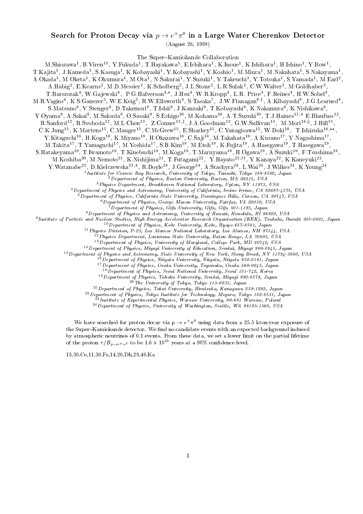## Search for Proton Decay via  $p \to e^+ \pi^+$  in a Large water Cherenkov Detector

(August 26, 1998)

The Super-Kamiokande Collaboration

M.SHIOZAWA , B. VIren , Y. Fukuda , T. Hayakawa , E.Ichihara , K.Inoue , K.Ishihara , H.Ishino , Y.Itow , ,

I.Ka jita ", J.Kameda", S.Kasuga", K.Kobayashi", Y.Kobayashi", Y.Koshio", M.Miura", M.Nakahata", S.Nakayama", ,

A.Okada", M.Oketa", K.Okumura", M.Ota", N.Sakurai", Y.Suzuki", Y.Takeuchi", Y.Totsuka", S.Yamada", M.Earl", ,

A.Habig", E.Kearlis", M.D.Messier", K.Scholberg", J.L.Stone", L.K.Sulak", U.W.Walter", M.Goldhaber",

1.Barszczak–, W.Ga jewski–, P.G.Halverson<sup>-,</sup> J.Hsu–, W.R.Kropp–, L.R. Price–, F.Reines–, H.W.Sobel–,

M.R. Vagins , R.S.Ganezer", W.E.Keig", R.W.Elisworth", S. Lasaka , J.W.Flanagan")', A.Kibayashi", J.G. Learned", , and the contract of the contract of the contract of the contract of the contract of the contract of the contract of the contract of the contract of the contract of the contract of the contract of the contract of the con

S.Matsuno", V.Stenger", D. Lakemori", T.Ishii", J.Kanzaki", T.Kobayashi", K.Nakamura", K.Nishikawa",

Y.Oyama°, A.Sakai°, M.Sakuda°, O.Sasaki°, S.Echigo<sup>10</sup>, M.Kohama<sup>10</sup>, A.T.Suzuki10, T.J.Haines11;4 E.Blaufuss12,

R.Sanford<sup>--</sup>, R.Svoboda<sup>--</sup>, M.L.Chen<sup>--</sup>, Z.Conner<sup>--,,</sup>, J.A.Goodman<sup>--</sup>, G.W.Sullivan<sup>--</sup>, M.Mori<sup>--,</sup>, J.Hill<sup>--</sup>,

U.K.Jung<sup>--</sup>, K.Martens<sup>--</sup>, U.Mauger<sup>--</sup>, U.McGrew<sup>--</sup>, E.Sharkey<sup>--</sup>, U.Yanagisawa<sup>--</sup>, W.Doki<sup>--</sup>, T.Ishizuka<sup>--</sup>, ,

Y.Kitaguchi<sup>16</sup>, H.Koga<sup>16</sup>, K.Miyano<sup>16</sup>, H.Okazawa16, O.Sa ji16, M.Takahata16, A.Kusano17, Y.Nagashima17,

M. Takita 1, T. Yamaguchi 1, M. Yoshida 1, S. B. Kim 1, M. Etoh 1, K. Fujita 1, A. Hasegawa 1, T. Hasegawa 1,

S.Hatakeyama\*\*, T.Iwamoto\*\*, T.Kinebuchi\*\*, M.Koga\*\*, T.Maruyama\*\*, H.Ogawa\*\*, A.Suzuki\*\*, F.Tsushima\*\*,

M.Kosniba<sup>20</sup>, M.Nemoto<sup>21</sup>, K.Nishijima<sup>21</sup>, T.Futagami<sup>22</sup>, Y.Hayato<sup>22;i+</sup>, Y.Kanaya<sup>22</sup>, K.Kaneyuki<sup>22</sup>,

Y. Watanabe<sup>22</sup>, D.Kielczewska<sup>23</sup>; K.Doyle<sup>24</sup>, J.George<sup>24</sup>, A.Stachyra<sup>24</sup>, L.Wai<sup>24</sup>, J.Wilkes<sup>24</sup>, K.Young<sup>24</sup><br><sup>1</sup> Institute for Cosmic Ray Research, University of Tokyo, Tanashi, Tokyo 188-8502, Japan

2Department of Physics, Boston University, Boston, MA 02215, USA

3Physics Department, Brookhaven National Laboratory, Upton, NY 11973, USA

4Department of Physics and Astronomy, University of California, Irvine Irvine, CA 92697-4575, USA

 $^5$ Department of Physics, California State University, Dominguez Hills, Carson, CA 90747, USA

6Department of Physics, George Mason University, Fairfax, VA 22030, USA

 $\vec{q}$  Department of Physics, Gifu University, Gifu, Gifu 501-1193, Japan

8Department of Physics and Astronomy, University of Hawaii, Honolulu, HI 96822, USA

<sup>9</sup> Institute of Particle and Nuclear Studies, High Energy Accelerator Research Organization (KEK), Tsukuba, Ibaraki 305-0801, Japan  $10$  Department of Physics, Kobe University, Kobe, Hyogo 657-8501, Japan

11Physics Division, P-23, Los Alamos National Laboratory, Los Alamos, NM 87544, USA.

12Physics Department, Louisiana State University, Baton Rouge, LA 70803, USA

<sup>--</sup> Department of Physics, University of Maryland, College Park, MD 20142, USA 14Department of Physics, Miyagi University of Education, Sendai, Miyagi 980-0845, Japan

<sup>15</sup> Department of Physics and Astronomy, State University of New York, Stony Brook, NY 11794-3800, USA 16Department of Physics, Niigata University, Niigata, Niigata 950-2181, Japan

<sup>17</sup> Department of Physics, Osaka University, Toyonaka, Osaka 560-0043, Japan

<sup>18</sup> Department of Physics, Seoul National University, Seoul 151-742, Korea

<sup>19</sup> Department of Physics, Tohoku University, Sendai, Miyagi 980-8578, Japan

 $20$ The University of Tokyo, Tokyo 113-0033, Japan

21Department of Physics, Tokai University, Hiratsuka, Kanagawa 259-1292, Japan

22Department of Physics, Tokyo Institute for Technology, Meguro, Tokyo 152-8551, Japan

<sup>23</sup> Institute of Experimental Physics, Warsaw University, 00-681 Warsaw, Poland

24Department of Physics, University of Washington, Seattle, WA 98195-1560, USA

We have searched for proton decay via  $p \to e^+ \pi^-$  using data from a 25.5 kton year exposure of the Super-Kamiokande detector. We find no candidate events with an expected background induced by atmospheric neutrinos of 0.1 events. From these data, we set a lower limit on the partial lifetime of the proton  $\tau/B_{p\to e^+\pi^0}$  to be 1.6  $\times$  10  $^\circ$  years at a 90% confidence level.

13.30.Ce,11.30.Fs,14.20.Dh,29.40.Ka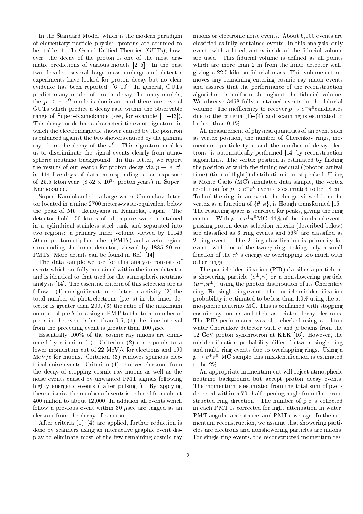In the Standard Model, which is the modern paradigm of elementary particle physics, protons are assumed to be stable [1]. In Grand Unied Theories (GUTs), how ever, the decay of the proton is one of the most dramatic predictions of various models  $[2–5]$ . In the past two decades, several large mass underground detector experiments have looked for proton decay but no clear evidence has been reported  $[6{-}10]$ . In general, GUTs predict many modes of proton decay. In many models, the  $p \rightarrow e^+ \pi^-$  mode is dominant and there are several  $-$ GUTs which predict a decay rate within the observable range of Super-Kamiokande (see, for example  $[11–13]$ ). This decay mode has a characteristic event signature, in which the electromagnetic shower caused by the positron is balanced against the two showers caused by the gamma rays from the decay of the  $\pi$  . This signature enables the us to discriminate the signal events clearly from atmospheric neutrino background. In this letter, we report the results of our search for proton decay via  $p \to e^+ \pi^0$ in 414 live-days of data corresponding to an exposure of 25.5 ktonyear (8.52 × 10<sup>33</sup> protonyears) in Super{{B}} a Me Kamiokande.

Super-Kamiokande is a large water Cherenkov detector located in a mine 2700 meters-water-equivalent below the peak of Mt. Ikenoyama in Kamioka, Japan. The detector holds 50 ktons of ultra-pure water contained in a cylindrical stainless steel tank and separated into two regions: a primary inner volume viewed by 11146 50 cm photomultiplier tubes (PMTs) and a veto region, surrounding the inner detector, viewed by 1885 20 cm PMTs. More details can be found in Ref. [14].

The data sample we use for this analysis consists of events which are fully contained within the inner detector and is identical to that used for the atmospheric neutrino analysis [14]. The essential criteria of this selection are as follows:  $(1)$  no significant outer detector activity,  $(2)$  the total number of photoelectrons (p.e.'s) in the inner detector is greater than 200, (3) the ratio of the maximum number of p.e.'s in a single PMT to the total number of p.e.'s in the event is less than 0.5, (4) the time interval from the preceding event is greater than 100  $\mu$ sec.

Essentially 100% of the cosmic ray muons are eliminated by criterion  $(1)$ . Criterion  $(2)$  corresponds to a lower momentum cut of 22 MeV/c for electrons and 190  $MeV/c$  for muons. Criterion  $(3)$  removes spurious electrical noise events. Criterion (4) removes electrons from the decay of stopping cosmic ray muons as well as the noise events caused by unwanted PMT signals following highly energetic events ("after pulsing"). By applying these criteria, the number of events is reduced from about 400 million to about 12,000. In addition all events which follow a previous event within 30  $\mu$ sec are tagged as an electron from the decay of a muon.

After criteria  $(1)-(4)$  are applied, further reduction is done by scanners using an interactive graphic event display to eliminate most of the few remaining cosmic ray

muons or electronic noise events. About 6,000 events are classied as fully contained events. In this analysis, only events with a fitted vertex inside of the fiducial volume are used. This fiducial volume is defined as all points which are more than 2 m from the inner detector wall, giving a 22.5 kiloton fiducial mass. This volume cut removes any remaining entering cosmic ray muon events and assures that the performance of the reconstruction algorithms is uniform throughout the fiducial volume. We observe 3468 fully contained events in the fiducial volume. The inefficiency to recover  $p \to e^+ \pi^o$  candidates due to the criteria  $(1)-(4)$  and scanning is estimated to be less than 0.1%.

 $\pi^-$  — the position at which the timing residual ((photon arrival  $\pi^-$ All measurement of physical quantities of an event such as vertex position, the number of Cherenkov rings, momentum, particle type and the number of decay electrons, is automatically performed [14] by reconstruction algorithms. The vertex position is estimated by finding time)-(time of flight)) distribution is most peaked. Using a Monte Carlo (MC) simulated data sample, the vertex resolution for  $p \to e^+ \pi^0$  events is estimated to be 18 cm. To find the rings in an event, the charge, viewed from the vertex as a function of  $\{\theta, \phi\}$ , is Hough transformed [15]. The resulting space is searched for peaks, giving the ring centers. With  $p \to e^+ \pi^{\circ}$ MC, 44% of the simulated events passing proton decay selection criteria (described below) are classified as  $3$ -ring events and  $56\%$  are classified as 2-ring events. The 2-ring classification is primarily for events with one of the two  $\gamma$  rings taking only a small fraction of the  $\pi^0$ 's energy or overlapping too much with other rings.

The particle identification (PID) classifies a particle as a showering particle ( $e^\pm$ , $\gamma$ ) or a nonshowering particle  $(\mu^-,\pi^-)$ , using the photon distribution of its Cherenkov ring. For single ring events, the particle misidentification probability is estimated to be less than 1.0% using the atmospheric neutrino MC. This is confirmed with stopping cosmic ray muons and their associated decay electrons. The PID performance was also checked using a 1 kton water Cherenkov detector with  $e$  and  $\mu$  beams from the 12 GeV proton synchrotron at KEK [16]. However, the misidentification probability differs between single ring and multi ring events due to overlapping rings. Using a  $p \rightarrow e^+ \pi^-$  MC sample this misidentification is estimated to be 2%.

An appropriate momentum cut will reject atmospheric neutrino background but accept proton decay events. The momentum is estimated from the total sum of p.e.'s detected within a  $70^{\circ}$  half opening angle from the reconstructed ring direction. The number of p.e.'s collected in each PMT is corrected for light attenuation in water, PMT angular acceptance, and PMT coverage. In the momentum reconstruction, we assume that showering particles are electrons and nonshowering particles are muons. For single ring events, the reconstructed momentum res-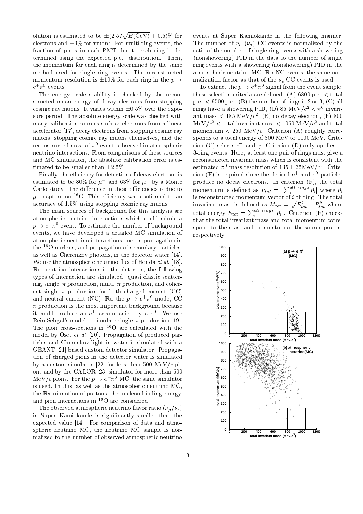olution is estimated to be  $\pm (2.5/\sqrt{E(\text{GeV)}} + 0.5)\%$  for ever electrons and  $\pm 3\%$  for muons. For multi-ring events, the fraction of p.e.'s in each PMT due to each ring is determined using the expected p.e. distribution. Then, the momentum for each ring is determined by the same method used for single ring events. The reconstructed momentum resolution is  $\pm 10\%$  for each ring in the  $p \rightarrow$  $e^+\pi^-$  events.

The energy scale stability is checked by the reconstructed mean energy of decay electrons from stopping cosmic ray muons. It varies within  $\pm 0.5\%$  over the exposure period. The absolute energy scale was checked with many calibration sources such as electrons from a linear accelerator [17], decay electrons from stopping cosmic ray muons, stopping cosmic ray muons themselves, and the reconstructed mass of  $\pi^0$  events observed in atmospheric neutrino interactions. From comparisons of these sources and MC simulation, the absolute calibration error is estimated to be smaller than  $\pm 2.5\%$ .

Finally, the efficiency for detection of decay electrons is estimated to be  $\mathcal{O}(\gamma_0)$  for  $\mu$  and  $\mathcal{O}(\gamma_0)$  for  $\mu$  by a Monte pro Carlo study. The difference in these efficiencies is due to  $\mu$  - capture on  $\sim$  O. This eniclency was confirmed to an  $_{\rm H\,8\,rec}$ accuracy of 1.5% using stopping cosmic ray muons.

The main sources of background for this analysis are atmospheric neutrino interactions which could mimic a  $p \to e^{\tau} \pi^{\sigma}$  event. To estimate the number of background spong events, we have developed a detailed MC simulation of atmospheric neutrino interactions, meson propagation in the 16O nucleus, and propagation of secondary particles, as well as Cherenkov photons, in the detector water [14]. We use the atmospheric neutrino flux of Honda et al. [18]. For neutrino interactions in the detector, the following types of interaction are simulated: quasi elastic scattering, single- $\pi$  production, multi- $\pi$  production, and coherent single- $\pi$  production for both charged current (CC) and neutral current (NC). For the  $p \to e^+ \pi^{\circ}$  mode, CC  $\pi$  production is the most important background because it could produce an  $e^{\pm}$  accompanied by a  $\pi^+$ . We use Rein-Sehgal's model to simulate single $-\pi$  production [19]. The pion cross-sections in 16O are calculated with the model by Oset et al. [20]. Propagation of produced particles and Cherenkov light in water is simulated with a GEANT [21] based custom detector simulator. Propagation of charged pions in the detector water is simulated by a custom simulator [22] for less than 500 MeV/c pions and by the CALOR [23] simulator for more than 500 MeV/c pions. For the  $p \to e^+ \pi^0$  MC, the same simulator is used. In this, as well as the atmospheric neutrino MC, the Fermi motion of protons, the nucleon binding energy, and pion interactions in  ${}^{16}$ O are considered.

The observed atmospheric neutrino flavor ratio  $(\nu_{\mu}/\nu_{e})$ in Super-Kamiokande is significantly smaller than the expected value [14]. For comparison of data and atmospheric neutrino MC, the neutrino MC sample is normalized to the number of observed atmospheric neutrino

events at Super-Kamiokande in the following manner. The number of e () CC events is normalized by the ratio of the number of single ring events with a showering (nonshowering) PID in the data to the number of single ring events with a showering (nonshowering) PID in the atmospheric neutrino MC. For NC events, the same normatization factor as the extent is used the events is used. The extent is used that  $\sim$ 

To extract the  $p \to e^+ \pi^-$  signal from the event sample, these selection criteria are defined:  $(A)$  6800 p.e.  $\lt$  total p.e.  $\leq 9500$  p.e., (B) the number of rings is 2 or 3, (C) all rings have a showering PID, (D) 85 MeV/c  $\lt \pi$  invariant mass  $\lt$  185 MeV/c, (E) no decay electron, (F) 800  $\mu$ ev/c<sup>-</sup>  $\lt$  total invariant mass  $\lt$  1050 MeV/c<sup>-</sup> and total momentum  $< 250$  MeV/c. Criterion (A) roughly corresponds to a total energy of 800 MeV to 1100 MeV. Criterion (C) selects  $e^-$  and  $\gamma$ . Criterion (D) only applies to 3-ring events. Here, at least one pair of rings must give a reconstructed invariant mass which is consistent with the estimated  $\pi^0$  mass resolution of  $135 \pm 35$ MeV/ $c^2$ . Criterion (E) is required since the desired  $e$  and  $\pi$  particles produce no decay electrons. In criterion (F), the total momentum is defined as  $P_{tot} = |\sum_{i}^{aut} {r}^{ings} \vec{p}_i|$  where  $\vec{p}_i$ is reconstructed momentum vector of i-th ring. The total invariant mass is defined as  $M_{tot} = \sqrt{E_{tot}^2 - P_{tot}^2}$  where total energy  $E_{tot} = \sum_{i}^{a_{ll}} |\vec{p}_{i}|$ . Criterion (F) checks that the total invariant mass and total momentum correspond to the mass and momentum of the source proton, respectively.

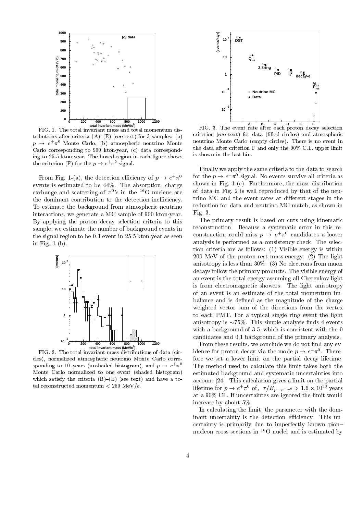

FIG. 1. The total invariant mass and total momentum distributions after criteria  $(A)$ – $(E)$  (see text) for 3 samples: (a)  $p~\rightarrow~e^{+}\pi^{-}$  Monte Carlo, (b) atmospheric neutrino Monte  $^{++}$ Carlo corresponding to 900 ktonyear, (c) data corresponding to 25.5 kton year. The boxed region in each figure shows the criterion (F) for the  $p \to e^+ \pi^-$  signal.

From Fig. 1-(a), the detection efficiency of  $p \to e^+ \pi^0$  for the events is estimated to be 44%. The absorption, charge exchange and scattering of  $\pi^{0}$ 's in the <sup>16</sup>O nucleus are o<sup>t G</sup> the dominant contribution to the detection inefficiency. To estimate the background from atmospheric neutrino interactions, we generate a MC sample of 900 kton year. By applying the proton decay selection criteria to this sample, we estimate the number of background events in the signal region to be  $0.1$  event in  $25.5$  kton year as seen in Fig. 1-(b).



FIG. 2. The total invariant mass distributions of data (circles), normalized atmospheric neutrino Monte Carlo corre sponding to 10 years (unshaded histogram), and  $p \to e^+ \pi^+$  . The n Monte Carlo normalized to one event (shaded histogram) which satisfy the criteria  $(B)-(E)$  (see text) and have a total reconstructed momentum  $< 250$  MeV/c.



**ABCDEF** FIG. 3. The event rate after each proton decay selection criterion (see text) for data (filled circles) and atmospheric neutrino Monte Carlo (empty circles). There is no event in the data after criterion F and only the 90% C.L. upper limit is shown in the last bin.

Finally we apply the same criteria to the data to search for the  $p \to e^+ \pi^o$  signal. No events survive all criteria as shown in Fig.  $1-(c)$ . Furthermore, the mass distribution of data in Fig. 2 is well reproduced by that of the neutrino MC and the event rates at different stages in the reduction for data and neutrino MC match, as shown in Fig. 3.

The primary result is based on cuts using kinematic reconstruction. Because a systematic error in this reconstruction could miss  $p \to e^+ \pi^0$  candidates a looser analysis is performed as a consistency check. The selection criteria are as follows: (1) Visible energy is within 200 MeV of the proton rest mass energy. (2) The light anisotropy is less than 30%. (3) No electrons from muon decays follow the primary products. The visible energy of an event is the total energy assuming all Cherenkov light is from electromagnetic showers. The light anisotropy of an event is an estimate of the total momentum imbalance and is defined as the magnitude of the charge weighted vector sum of the directions from the vertex to each PMT. For a typical single ring event the light anisotropy is  $\sim 75\%$ . This simple analysis finds 4 events with a background of 3.5, which is consistent with the 0 candidates and 0.1 background of the primary analysis.

From these results, we conclude we do not find any evidence for proton decay via the mode  $p \to e^+ \pi^{\circ}$ . Therefore we set a lower limit on the partial decay lifetime. The method used to calculate this limit takes both the estimated background and systematic uncertainties into account [24]. This calculation gives a limit on the partial lifetime for  $p \to e^+ \pi^-$  of,  $\tau/B_{p\to e^+ \pi^0} > 1.6 \times 10^{39}$  years at a 90% CL. If uncertaintes are ignored the limit would increase by about 5%.

In calculating the limit, the parameter with the dominant uncertainty is the detection efficiency. This uncertainty is primarily due to imperfectly known pion{ nucleon cross sections in  ${}^{16}$ O nuclei and is estimated by